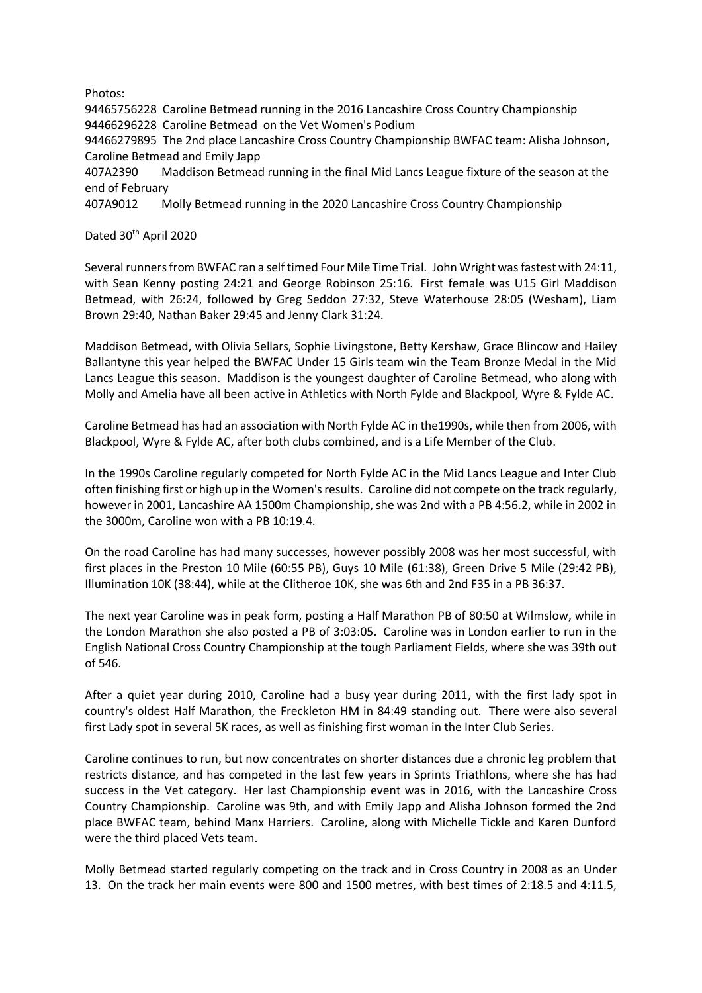Photos:

94465756228 Caroline Betmead running in the 2016 Lancashire Cross Country Championship 94466296228 Caroline Betmead on the Vet Women's Podium 94466279895 The 2nd place Lancashire Cross Country Championship BWFAC team: Alisha Johnson, Caroline Betmead and Emily Japp 407A2390 Maddison Betmead running in the final Mid Lancs League fixture of the season at the end of February

407A9012 Molly Betmead running in the 2020 Lancashire Cross Country Championship

Dated 30th April 2020

Several runners from BWFAC ran a self timed Four Mile Time Trial. John Wright was fastest with 24:11, with Sean Kenny posting 24:21 and George Robinson 25:16. First female was U15 Girl Maddison Betmead, with 26:24, followed by Greg Seddon 27:32, Steve Waterhouse 28:05 (Wesham), Liam Brown 29:40, Nathan Baker 29:45 and Jenny Clark 31:24.

Maddison Betmead, with Olivia Sellars, Sophie Livingstone, Betty Kershaw, Grace Blincow and Hailey Ballantyne this year helped the BWFAC Under 15 Girls team win the Team Bronze Medal in the Mid Lancs League this season. Maddison is the youngest daughter of Caroline Betmead, who along with Molly and Amelia have all been active in Athletics with North Fylde and Blackpool, Wyre & Fylde AC.

Caroline Betmead has had an association with North Fylde AC in the1990s, while then from 2006, with Blackpool, Wyre & Fylde AC, after both clubs combined, and is a Life Member of the Club.

In the 1990s Caroline regularly competed for North Fylde AC in the Mid Lancs League and Inter Club often finishing first or high up in the Women's results. Caroline did not compete on the track regularly, however in 2001, Lancashire AA 1500m Championship, she was 2nd with a PB 4:56.2, while in 2002 in the 3000m, Caroline won with a PB 10:19.4.

On the road Caroline has had many successes, however possibly 2008 was her most successful, with first places in the Preston 10 Mile (60:55 PB), Guys 10 Mile (61:38), Green Drive 5 Mile (29:42 PB), Illumination 10K (38:44), while at the Clitheroe 10K, she was 6th and 2nd F35 in a PB 36:37.

The next year Caroline was in peak form, posting a Half Marathon PB of 80:50 at Wilmslow, while in the London Marathon she also posted a PB of 3:03:05. Caroline was in London earlier to run in the English National Cross Country Championship at the tough Parliament Fields, where she was 39th out of 546.

After a quiet year during 2010, Caroline had a busy year during 2011, with the first lady spot in country's oldest Half Marathon, the Freckleton HM in 84:49 standing out. There were also several first Lady spot in several 5K races, as well as finishing first woman in the Inter Club Series.

Caroline continues to run, but now concentrates on shorter distances due a chronic leg problem that restricts distance, and has competed in the last few years in Sprints Triathlons, where she has had success in the Vet category. Her last Championship event was in 2016, with the Lancashire Cross Country Championship. Caroline was 9th, and with Emily Japp and Alisha Johnson formed the 2nd place BWFAC team, behind Manx Harriers. Caroline, along with Michelle Tickle and Karen Dunford were the third placed Vets team.

Molly Betmead started regularly competing on the track and in Cross Country in 2008 as an Under 13. On the track her main events were 800 and 1500 metres, with best times of 2:18.5 and 4:11.5,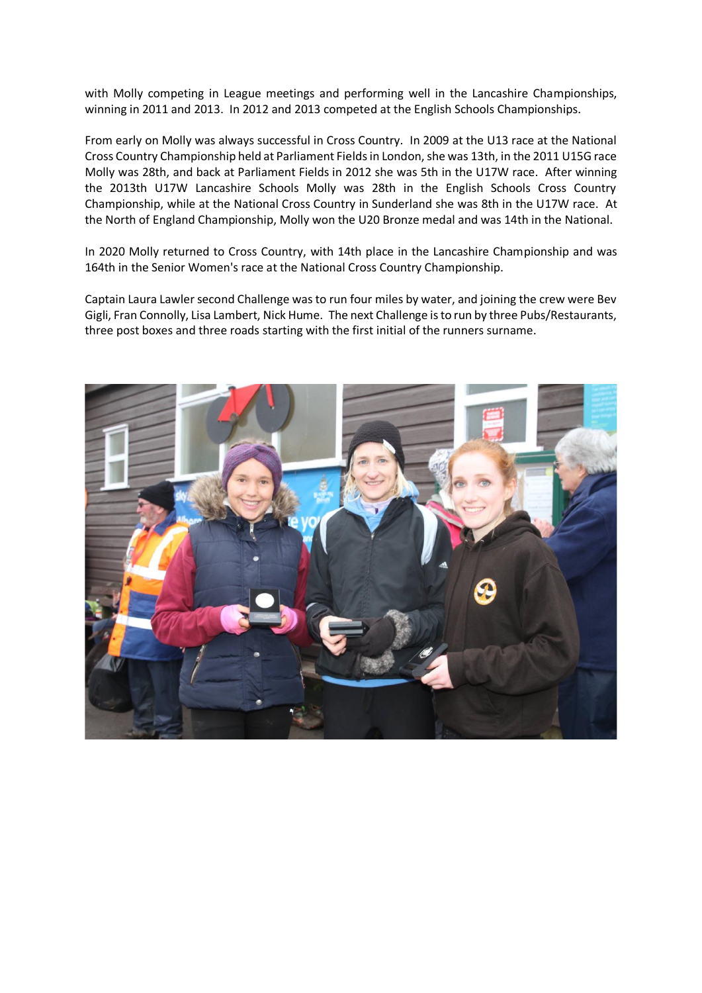with Molly competing in League meetings and performing well in the Lancashire Championships, winning in 2011 and 2013. In 2012 and 2013 competed at the English Schools Championships.

From early on Molly was always successful in Cross Country. In 2009 at the U13 race at the National Cross Country Championship held at Parliament Fields in London, she was 13th, in the 2011 U15G race Molly was 28th, and back at Parliament Fields in 2012 she was 5th in the U17W race. After winning the 2013th U17W Lancashire Schools Molly was 28th in the English Schools Cross Country Championship, while at the National Cross Country in Sunderland she was 8th in the U17W race. At the North of England Championship, Molly won the U20 Bronze medal and was 14th in the National.

In 2020 Molly returned to Cross Country, with 14th place in the Lancashire Championship and was 164th in the Senior Women's race at the National Cross Country Championship.

Captain Laura Lawler second Challenge was to run four miles by water, and joining the crew were Bev Gigli, Fran Connolly, Lisa Lambert, Nick Hume. The next Challenge is to run by three Pubs/Restaurants, three post boxes and three roads starting with the first initial of the runners surname.

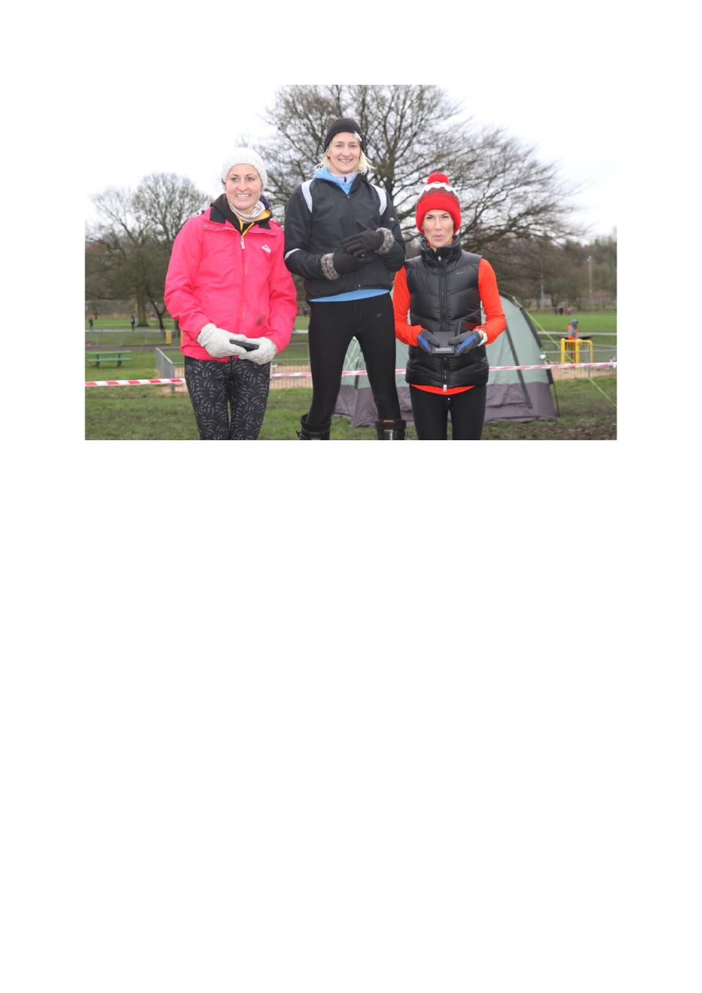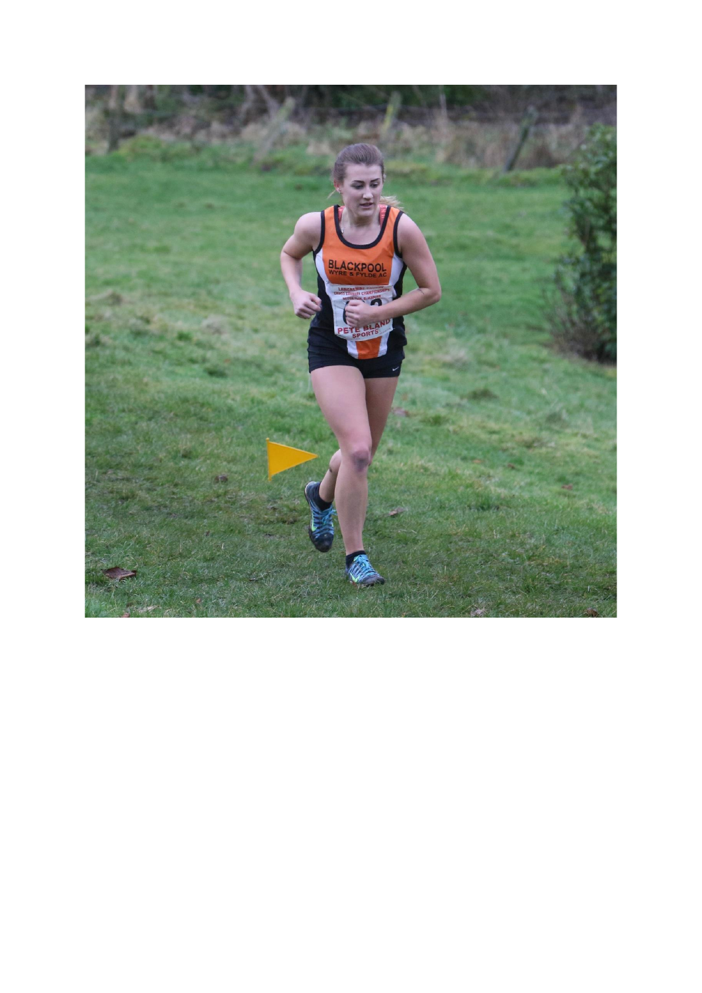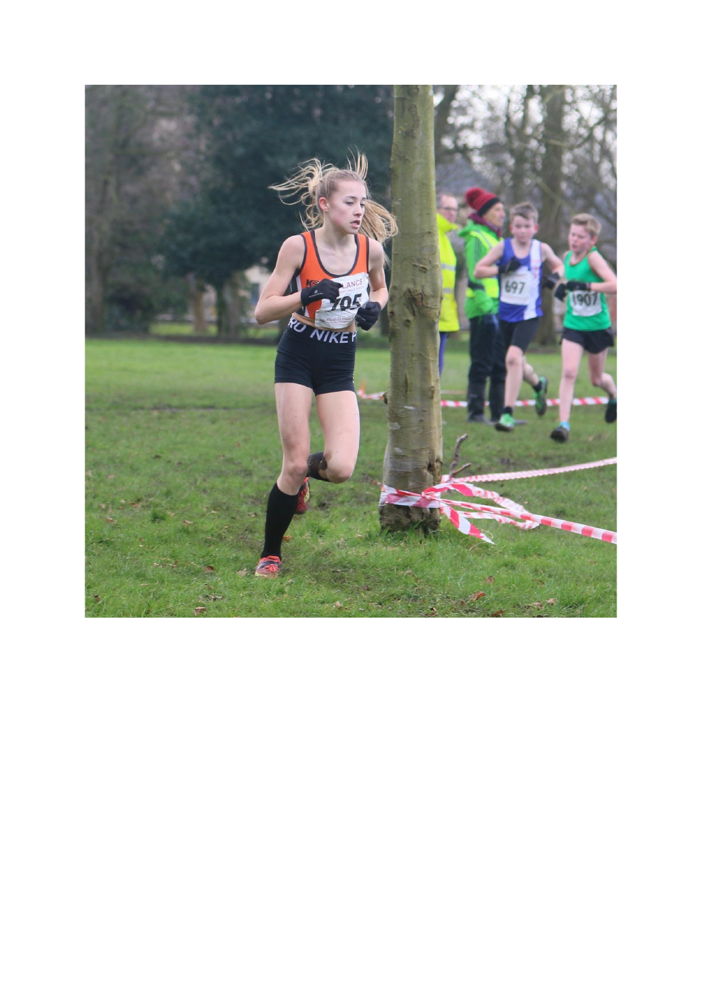